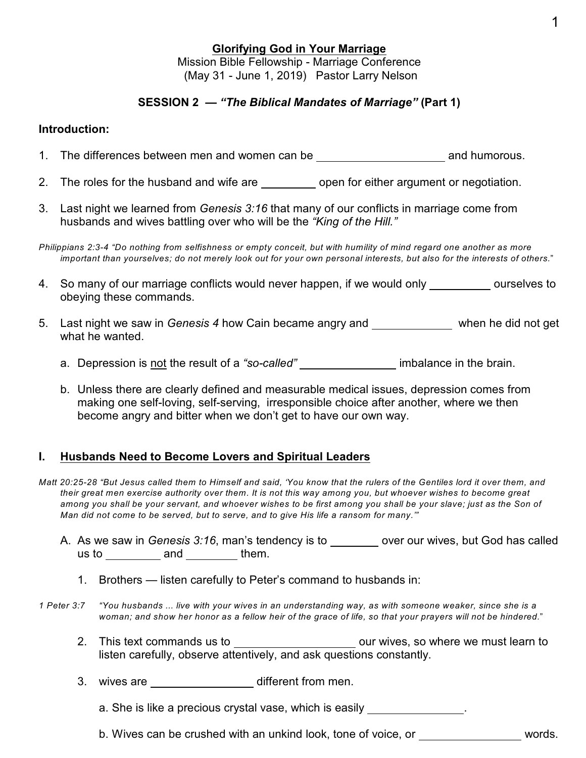# **SESSION 2 —** *"The Biblical Mandates of Marriage"* **(Part 1)**

### **Introduction:**

1. The differences between men and women can be and humorous.

- 2. The roles for the husband and wife are \_\_\_\_\_\_\_\_ open for either argument or negotiation.
- 3. Last night we learned from *Genesis 3:16* that many of our conflicts in marriage come from husbands and wives battling over who will be the *"King of the Hill."*

*Philippians 2:3-4 "Do nothing from selfishness or empty conceit, but with humility of mind regard one another as more important than yourselves; do not merely look out for your own personal interests, but also for the interests of others.*"

- 4. So many of our marriage conflicts would never happen, if we would only ourselves to obeying these commands.
- 5. Last night we saw in *Genesis 4* how Cain became angry and when he did not get what he wanted.
	- a. Depression is not the result of a "so-called" **imbalance in the brain**.
	- b. Unless there are clearly defined and measurable medical issues, depression comes from making one self-loving, self-serving, irresponsible choice after another, where we then become angry and bitter when we don't get to have our own way.

## **I. Husbands Need to Become Lovers and Spiritual Leaders**

*Matt 20:25-28 "But Jesus called them to Himself and said, 'You know that the rulers of the Gentiles lord it over them, and their great men exercise authority over them. It is not this way among you, but whoever wishes to become great among you shall be your servant, and whoever wishes to be first among you shall be your slave; just as the Son of Man did not come to be served, but to serve, and to give His life a ransom for many.'"*

A. As we saw in *Genesis 3:16*, man's tendency is to **our over our wives, but God has called** us to and them.

- 1. Brothers listen carefully to Peter's command to husbands in:
- *1 Peter 3:7 "You husbands ... live with your wives in an understanding way, as with someone weaker, since she is a woman; and show her honor as a fellow heir of the grace of life, so that your prayers will not be hindered.*"
	- 2. This text commands us to **contrary to the contrary our wives**, so where we must learn to listen carefully, observe attentively, and ask questions constantly.
	- 3. wives are different from men.
		- a. She is like a precious crystal vase, which is easily .
		- b. Wives can be crushed with an unkind look, tone of voice, or words.

1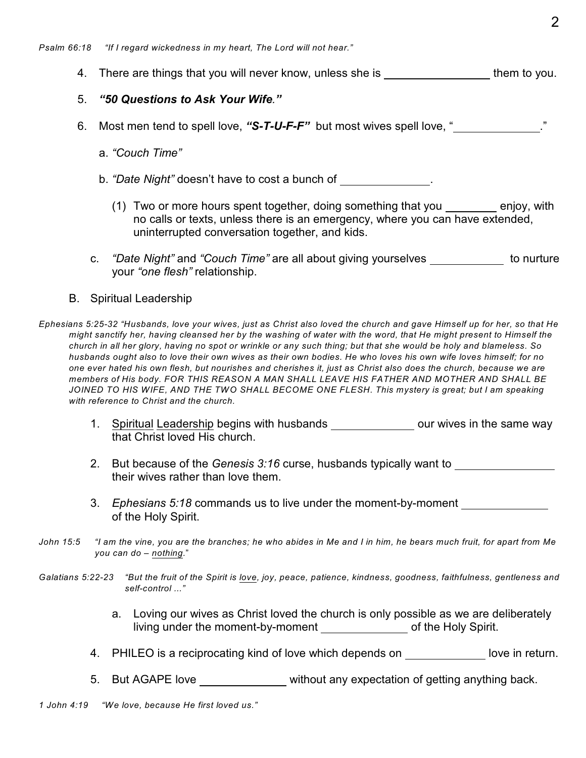- 4. There are things that you will never know, unless she is \_\_\_\_\_\_\_\_\_\_\_\_\_\_\_\_\_\_them to you.
- 5. *"50 Questions to Ask Your Wife."*
- 6. Most men tend to spell love, *"S-T-U-F-F"* but most wives spell love, " ."
	- a. *"Couch Time"*

b. *"Date Night"* doesn't have to cost a bunch of .

- (1) Two or more hours spent together, doing something that you enjoy, with no calls or texts, unless there is an emergency, where you can have extended, uninterrupted conversation together, and kids.
- c. *"Date Night"* and *"Couch Time"* are all about giving yourselves to nurture your *"one flesh"* relationship.

#### B. Spiritual Leadership

*Ephesians 5:25-32 "Husbands, love your wives, just as Christ also loved the church and gave Himself up for her, so that He might sanctify her, having cleansed her by the washing of water with the word, that He might present to Himself the church in all her glory, having no spot or wrinkle or any such thing; but that she would be holy and blameless. So husbands ought also to love their own wives as their own bodies. He who loves his own wife loves himself; for no one ever hated his own flesh, but nourishes and cherishes it, just as Christ also does the church, because we are members of His body. FOR THIS REASON A MAN SHALL LEAVE HIS FATHER AND MOTHER AND SHALL BE JOINED TO HIS WIFE, AND THE TWO SHALL BECOME ONE FLESH. This mystery is great; but I am speaking with reference to Christ and the church.*

- 1. Spiritual Leadership begins with husbands our wives in the same way that Christ loved His church.
- 2. But because of the *Genesis 3:16* curse, husbands typically want to their wives rather than love them.
- 3. *Ephesians 5:18* commands us to live under the moment-by-moment of the Holy Spirit.
- *John 15:5 "I am the vine, you are the branches; he who abides in Me and I in him, he bears much fruit, for apart from Me you can do – nothing.*"
- *Galatians 5:22-23 "But the fruit of the Spirit is love, joy, peace, patience, kindness, goodness, faithfulness, gentleness and self-control ..."*
	- a. Loving our wives as Christ loved the church is only possible as we are deliberately living under the moment-by-moment of the Holy Spirit.
	- 4. PHILEO is a reciprocating kind of love which depends on love in return.
	- 5. But AGAPE love \_\_\_\_\_\_\_\_\_\_\_\_\_\_ without any expectation of getting anything back.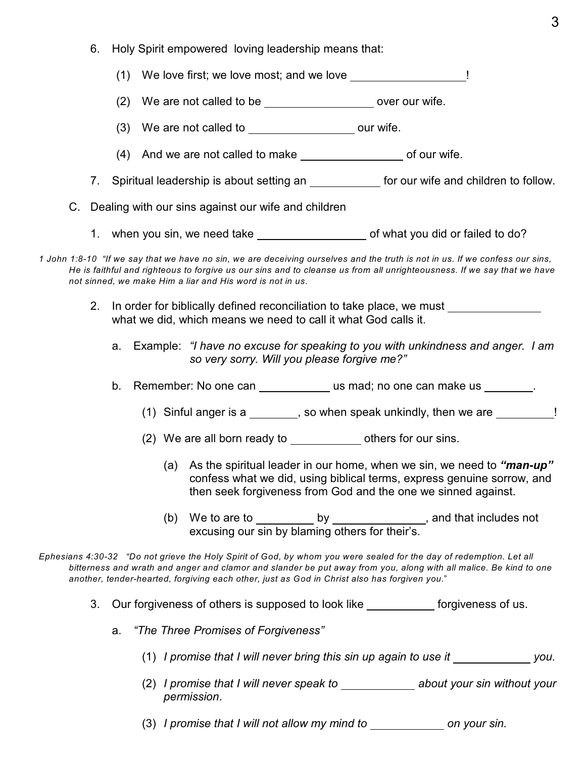6. Holy Spirit empowered loving leadership means that:

(1) We love first; we love most; and we love !

- (2) We are not called to be  $\sqrt{2}$  over our wife.
- (3) We are not called to  $\frac{1}{\sqrt{1-\frac{1}{\sqrt{1-\frac{1}{\sqrt{1-\frac{1}{\sqrt{1-\frac{1}{\sqrt{1-\frac{1}{\sqrt{1-\frac{1}{\sqrt{1-\frac{1}{\sqrt{1-\frac{1}{\sqrt{1-\frac{1}{\sqrt{1-\frac{1}{\sqrt{1-\frac{1}{\sqrt{1-\frac{1}{\sqrt{1-\frac{1}{\sqrt{1-\frac{1}{\sqrt{1-\frac{1}{\sqrt{1-\frac{1}{\sqrt{1-\frac{1}{\sqrt{1-\frac{1}{\sqrt{1-\frac{1}{\sqrt{1-\frac{1}{\sqrt{1-\frac{1}{\$
- $(4)$  And we are not called to make  $\qquad \qquad$  of our wife.
- 7. Spiritual leadership is about setting an for our wife and children to follow.
- C. Dealing with our sins against our wife and children
	- 1. when you sin, we need take of what you did or failed to do?
- *1 John 1:8-10 "If we say that we have no sin, we are deceiving ourselves and the truth is not in us. If we confess our sins, He is faithful and righteous to forgive us our sins and to cleanse us from all unrighteousness. If we say that we have not sinned, we make Him a liar and His word is not in us.*
	- 2. In order for biblically defined reconciliation to take place, we must what we did, which means we need to call it what God calls it.
		- a. Example: *"I have no excuse for speaking to you with unkindness and anger. I am so very sorry. Will you please forgive me?"*
		- b. Remember: No one can \_\_\_\_\_\_\_\_\_\_\_\_\_ us mad; no one can make us \_\_\_\_\_\_\_.
			- (1) Sinful anger is a , so when speak unkindly, then we are  $\qquad$  !
			- (2) We are all born ready to be others for our sins.
				- (a) As the spiritual leader in our home, when we sin, we need to *"man-up"* confess what we did, using biblical terms, express genuine sorrow, and then seek forgiveness from God and the one we sinned against.
				- (b) We to are to  $\underline{\hspace{1cm}}$  by  $\underline{\hspace{1cm}}$ , and that includes not excusing our sin by blaming others for their's.

*Ephesians 4:30-32 "Do not grieve the Holy Spirit of God, by whom you were sealed for the day of redemption. Let all bitterness and wrath and anger and clamor and slander be put away from you, along with all malice. Be kind to one another, tender-hearted, forgiving each other, just as God in Christ also has forgiven you.*"

- 3. Our forgiveness of others is supposed to look like forgiveness of us.
	- a. *"The Three Promises of Forgiveness"*
		- (1) *I promise that I will never bring this sin up again to use it you.*
		- (2) *I promise that I will never speak to about your sin without your permission*.
		- (3) *I promise that I will not allow my mind to* \_\_\_\_\_\_\_\_\_\_\_\_\_ on your sin.